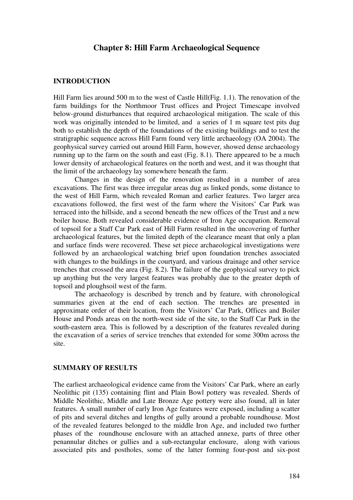# **Chapter 8: Hill Farm Archaeological Sequence**

### **INTRODUCTION**

Hill Farm lies around 500 m to the west of Castle Hill(Fig. 1.1). The renovation of the farm buildings for the Northmoor Trust offices and Project Timescape involved below-ground disturbances that required archaeological mitigation. The scale of this work was originally intended to be limited, and a series of 1 m square test pits dug both to establish the depth of the foundations of the existing buildings and to test the stratigraphic sequence across Hill Farm found very little archaeology (OA 2004). The geophysical survey carried out around Hill Farm, however, showed dense archaeology running up to the farm on the south and east (Fig. 8.1). There appeared to be a much lower density of archaeological features on the north and west, and it was thought that the limit of the archaeology lay somewhere beneath the farm.

Changes in the design of the renovation resulted in a number of area excavations. The first was three irregular areas dug as linked ponds, some distance to the west of Hill Farm, which revealed Roman and earlier features. Two larger area excavations followed, the first west of the farm where the Visitors' Car Park was terraced into the hillside, and a second beneath the new offices of the Trust and a new boiler house. Both revealed considerable evidence of Iron Age occupation. Removal of topsoil for a Staff Car Park east of Hill Farm resulted in the uncovering of further archaeological features, but the limited depth of the clearance meant that only a plan and surface finds were recovered. These set piece archaeological investigations were followed by an archaeological watching brief upon foundation trenches associated with changes to the buildings in the courtyard, and various drainage and other service trenches that crossed the area (Fig. 8.2). The failure of the geophysical survey to pick up anything but the very largest features was probably due to the greater depth of topsoil and ploughsoil west of the farm.

The archaeology is described by trench and by feature, with chronological summaries given at the end of each section. The trenches are presented in approximate order of their location, from the Visitors' Car Park, Offices and Boiler House and Ponds areas on the north-west side of the site, to the Staff Car Park in the south-eastern area. This is followed by a description of the features revealed during the excavation of a series of service trenches that extended for some 300m across the site.

### **SUMMARY OF RESULTS**

The earliest archaeological evidence came from the Visitors' Car Park, where an early Neolithic pit (135) containing flint and Plain Bowl pottery was revealed. Sherds of Middle Neolithic, Middle and Late Bronze Age pottery were also found, all in later features. A small number of early Iron Age features were exposed, including a scatter of pits and several ditches and lengths of gully around a probable roundhouse. Most of the revealed features belonged to the middle Iron Age, and included two further phases of the roundhouse enclosure with an attached annexe, parts of three other penannular ditches or gullies and a sub-rectangular enclosure, along with various associated pits and postholes, some of the latter forming four-post and six-post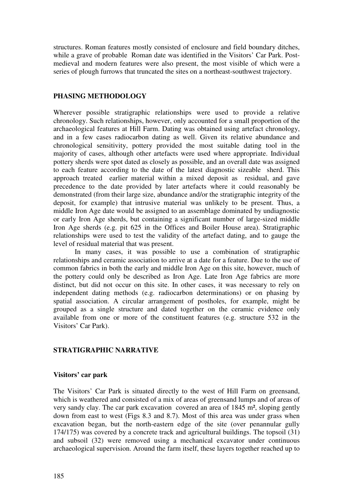structures. Roman features mostly consisted of enclosure and field boundary ditches, while a grave of probable Roman date was identified in the Visitors' Car Park. Postmedieval and modern features were also present, the most visible of which were a series of plough furrows that truncated the sites on a northeast-southwest trajectory.

# **PHASING METHODOLOGY**

Wherever possible stratigraphic relationships were used to provide a relative chronology. Such relationships, however, only accounted for a small proportion of the archaeological features at Hill Farm. Dating was obtained using artefact chronology, and in a few cases radiocarbon dating as well. Given its relative abundance and chronological sensitivity, pottery provided the most suitable dating tool in the majority of cases, although other artefacts were used where appropriate. Individual pottery sherds were spot dated as closely as possible, and an overall date was assigned to each feature according to the date of the latest diagnostic sizeable sherd. This approach treated earlier material within a mixed deposit as residual, and gave precedence to the date provided by later artefacts where it could reasonably be demonstrated (from their large size, abundance and/or the stratigraphic integrity of the deposit, for example) that intrusive material was unlikely to be present. Thus, a middle Iron Age date would be assigned to an assemblage dominated by undiagnostic or early Iron Age sherds, but containing a significant number of large-sized middle Iron Age sherds (e.g. pit 625 in the Offices and Boiler House area). Stratigraphic relationships were used to test the validity of the artefact dating, and to gauge the level of residual material that was present.

In many cases, it was possible to use a combination of stratigraphic relationships and ceramic association to arrive at a date for a feature. Due to the use of common fabrics in both the early and middle Iron Age on this site, however, much of the pottery could only be described as Iron Age. Late Iron Age fabrics are more distinct, but did not occur on this site. In other cases, it was necessary to rely on independent dating methods (e.g. radiocarbon determinations) or on phasing by spatial association. A circular arrangement of postholes, for example, might be grouped as a single structure and dated together on the ceramic evidence only available from one or more of the constituent features (e.g. structure 532 in the Visitors' Car Park).

# **STRATIGRAPHIC NARRATIVE**

### **Visitors' car park**

The Visitors' Car Park is situated directly to the west of Hill Farm on greensand, which is weathered and consisted of a mix of areas of greensand lumps and of areas of very sandy clay. The car park excavation covered an area of 1845 m², sloping gently down from east to west (Figs 8.3 and 8.7). Most of this area was under grass when excavation began, but the north-eastern edge of the site (over penannular gully 174/175) was covered by a concrete track and agricultural buildings. The topsoil (31) and subsoil (32) were removed using a mechanical excavator under continuous archaeological supervision. Around the farm itself, these layers together reached up to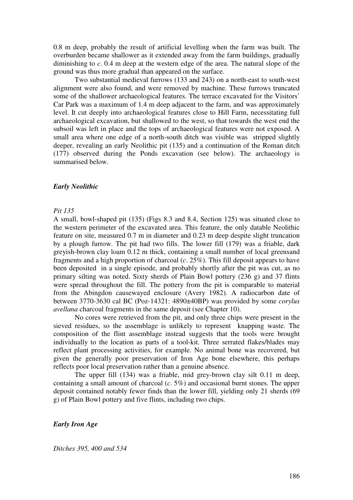0.8 m deep, probably the result of artificial levelling when the farm was built. The overburden became shallower as it extended away from the farm buildings, gradually diminishing to *c*. 0.4 m deep at the western edge of the area. The natural slope of the ground was thus more gradual than appeared on the surface.

Two substantial medieval furrows (133 and 243) on a north-east to south-west alignment were also found, and were removed by machine. These furrows truncated some of the shallower archaeological features. The terrace excavated for the Visitors' Car Park was a maximum of 1.4 m deep adjacent to the farm, and was approximately level. It cut deeply into archaeological features close to Hill Farm, necessitating full archaeological excavation, but shallowed to the west, so that towards the west end the subsoil was left in place and the tops of archaeological features were not exposed. A small area where one edge of a north-south ditch was visible was stripped slightly deeper, revealing an early Neolithic pit (135) and a continuation of the Roman ditch (177) observed during the Ponds excavation (see below). The archaeology is summarised below.

### *Early Neolithic*

### *Pit 135*

A small, bowl-shaped pit (135) (Figs 8.3 and 8.4, Section 125) was situated close to the western perimeter of the excavated area. This feature, the only datable Neolithic feature on site, measured 0.7 m in diameter and 0.23 m deep despite slight truncation by a plough furrow. The pit had two fills. The lower fill (179) was a friable, dark greyish-brown clay loam 0.12 m thick, containing a small number of local greensand fragments and a high proportion of charcoal  $(c. 25\%)$ . This fill deposit appears to have been deposited in a single episode, and probably shortly after the pit was cut, as no primary silting was noted. Sixty sherds of Plain Bowl pottery (236 g) and 37 flints were spread throughout the fill. The pottery from the pit is comparable to material from the Abingdon causewayed enclosure (Avery 1982). A radiocarbon date of between 3770-3630 cal BC (Poz-14321: 4890±40BP) was provided by some *corylus avellana* charcoal fragments in the same deposit (see Chapter 10).

No cores were retrieved from the pit, and only three chips were present in the sieved residues, so the assemblage is unlikely to represent knapping waste. The composition of the flint assemblage instead suggests that the tools were brought individually to the location as parts of a tool-kit. Three serrated flakes/blades may reflect plant processing activities, for example. No animal bone was recovered, but given the generally poor preservation of Iron Age bone elsewhere, this perhaps reflects poor local preservation rather than a genuine absence.

The upper fill (134) was a friable, mid grey-brown clay silt 0.11 m deep, containing a small amount of charcoal (*c*. 5%) and occasional burnt stones. The upper deposit contained notably fewer finds than the lower fill, yielding only 21 sherds (69 g) of Plain Bowl pottery and five flints, including two chips.

#### *Early Iron Age*

*Ditches 395, 400 and 534*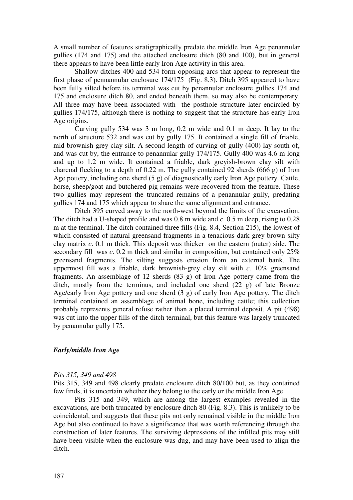A small number of features stratigraphically predate the middle Iron Age penannular gullies (174 and 175) and the attached enclosure ditch (80 and 100), but in general there appears to have been little early Iron Age activity in this area.

Shallow ditches 400 and 534 form opposing arcs that appear to represent the first phase of pennannular enclosure 174/175 (Fig. 8.3). Ditch 395 appeared to have been fully silted before its terminal was cut by penannular enclosure gullies 174 and 175 and enclosure ditch 80, and ended beneath them, so may also be contemporary. All three may have been associated with the posthole structure later encircled by gullies 174/175, although there is nothing to suggest that the structure has early Iron Age origins.

Curving gully 534 was 3 m long, 0.2 m wide and 0.1 m deep. It lay to the north of structure 532 and was cut by gully 175. It contained a single fill of friable, mid brownish-grey clay silt. A second length of curving of gully (400) lay south of, and was cut by, the entrance to penannular gully 174/175. Gully 400 was 4.6 m long and up to 1.2 m wide. It contained a friable, dark greyish-brown clay silt with charcoal flecking to a depth of 0.22 m. The gully contained 92 sherds (666 g) of Iron Age pottery, including one sherd (5 g) of diagnostically early Iron Age pottery. Cattle, horse, sheep/goat and butchered pig remains were recovered from the feature. These two gullies may represent the truncated remains of a penannular gully, predating gullies 174 and 175 which appear to share the same alignment and entrance.

Ditch 395 curved away to the north-west beyond the limits of the excavation. The ditch had a U-shaped profile and was 0.8 m wide and *c*. 0.5 m deep, rising to 0.28 m at the terminal. The ditch contained three fills (Fig. 8.4, Section 215), the lowest of which consisted of natural greensand fragments in a tenacious dark grey-brown silty clay matrix *c*. 0.1 m thick. This deposit was thicker on the eastern (outer) side. The secondary fill was *c*. 0.2 m thick and similar in composition, but contained only 25% greensand fragments. The silting suggests erosion from an external bank. The uppermost fill was a friable, dark brownish-grey clay silt with *c*. 10% greensand fragments. An assemblage of 12 sherds (83 g) of Iron Age pottery came from the ditch, mostly from the terminus, and included one sherd (22 g) of late Bronze Age/early Iron Age pottery and one sherd (3 g) of early Iron Age pottery. The ditch terminal contained an assemblage of animal bone, including cattle; this collection probably represents general refuse rather than a placed terminal deposit. A pit (498) was cut into the upper fills of the ditch terminal, but this feature was largely truncated by penannular gully 175.

# *Early/middle Iron Age*

#### *Pits 315, 349 and 498*

Pits 315, 349 and 498 clearly predate enclosure ditch 80/100 but, as they contained few finds, it is uncertain whether they belong to the early or the middle Iron Age.

Pits 315 and 349, which are among the largest examples revealed in the excavations, are both truncated by enclosure ditch 80 (Fig. 8.3). This is unlikely to be coincidental, and suggests that these pits not only remained visible in the middle Iron Age but also continued to have a significance that was worth referencing through the construction of later features. The surviving depressions of the infilled pits may still have been visible when the enclosure was dug, and may have been used to align the ditch.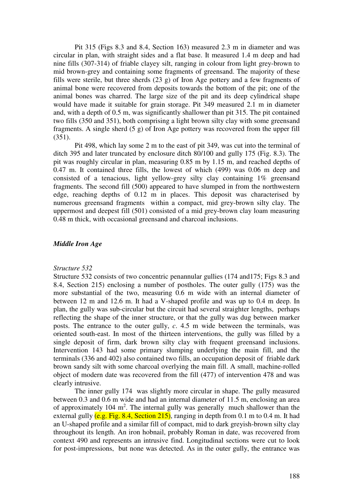Pit 315 (Figs 8.3 and 8.4, Section 163) measured 2.3 m in diameter and was circular in plan, with straight sides and a flat base. It measured 1.4 m deep and had nine fills (307-314) of friable clayey silt, ranging in colour from light grey-brown to mid brown-grey and containing some fragments of greensand. The majority of these fills were sterile, but three sherds (23 g) of Iron Age pottery and a few fragments of animal bone were recovered from deposits towards the bottom of the pit; one of the animal bones was charred. The large size of the pit and its deep cylindrical shape would have made it suitable for grain storage. Pit 349 measured 2.1 m in diameter and, with a depth of 0.5 m, was significantly shallower than pit 315. The pit contained two fills (350 and 351), both comprising a light brown silty clay with some greensand fragments. A single sherd (5 g) of Iron Age pottery was recovered from the upper fill (351).

Pit 498, which lay some 2 m to the east of pit 349, was cut into the terminal of ditch 395 and later truncated by enclosure ditch 80/100 and gully 175 (Fig. 8.3). The pit was roughly circular in plan, measuring 0.85 m by 1.15 m, and reached depths of 0.47 m. It contained three fills, the lowest of which (499) was 0.06 m deep and consisted of a tenacious, light yellow-grey silty clay containing 1% greensand fragments. The second fill (500) appeared to have slumped in from the northwestern edge, reaching depths of 0.12 m in places. This deposit was characterised by numerous greensand fragments within a compact, mid grey-brown silty clay. The uppermost and deepest fill (501) consisted of a mid grey-brown clay loam measuring 0.48 m thick, with occasional greensand and charcoal inclusions.

# *Middle Iron Age*

#### *Structure 532*

Structure 532 consists of two concentric penannular gullies (174 and175; Figs 8.3 and 8.4, Section 215) enclosing a number of postholes. The outer gully (175) was the more substantial of the two, measuring 0.6 m wide with an internal diameter of between 12 m and 12.6 m. It had a V-shaped profile and was up to 0.4 m deep. In plan, the gully was sub-circular but the circuit had several straighter lengths, perhaps reflecting the shape of the inner structure, or that the gully was dug between marker posts. The entrance to the outer gully, *c*. 4.5 m wide between the terminals, was oriented south-east. In most of the thirteen interventions, the gully was filled by a single deposit of firm, dark brown silty clay with frequent greensand inclusions. Intervention 143 had some primary slumping underlying the main fill, and the terminals (336 and 402) also contained two fills, an occupation deposit of friable dark brown sandy silt with some charcoal overlying the main fill. A small, machine-rolled object of modern date was recovered from the fill (477) of intervention 478 and was clearly intrusive.

The inner gully 174 was slightly more circular in shape. The gully measured between 0.3 and 0.6 m wide and had an internal diameter of 11.5 m, enclosing an area of approximately  $104 \text{ m}^2$ . The internal gully was generally much shallower than the external gully  $(e.g., Fig. 8.4, Section 215)$ , ranging in depth from 0.1 m to 0.4 m. It had an U-shaped profile and a similar fill of compact, mid to dark greyish-brown silty clay throughout its length. An iron hobnail, probably Roman in date, was recovered from context 490 and represents an intrusive find. Longitudinal sections were cut to look for post-impressions, but none was detected. As in the outer gully, the entrance was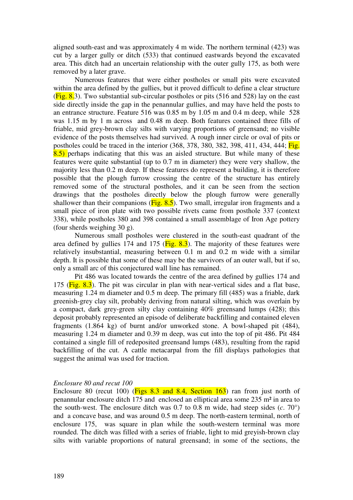aligned south-east and was approximately 4 m wide. The northern terminal (423) was cut by a larger gully or ditch (533) that continued eastwards beyond the excavated area. This ditch had an uncertain relationship with the outer gully 175, as both were removed by a later grave.

Numerous features that were either postholes or small pits were excavated within the area defined by the gullies, but it proved difficult to define a clear structure  $(Fig. 8.3)$ . Two substantial sub-circular postholes or pits (516 and 528) lay on the east side directly inside the gap in the penannular gullies, and may have held the posts to an entrance structure. Feature 516 was 0.85 m by 1.05 m and 0.4 m deep, while 528 was 1.15 m by 1 m across and 0.48 m deep. Both features contained three fills of friable, mid grey-brown clay silts with varying proportions of greensand; no visible evidence of the posts themselves had survived. A rough inner circle or oval of pits or postholes could be traced in the interior (368, 378, 380, 382, 398, 411, 434, 444; Fig. 8.5) perhaps indicating that this was an aisled structure. But while many of these features were quite substantial (up to 0.7 m in diameter) they were very shallow, the majority less than 0.2 m deep. If these features do represent a building, it is therefore possible that the plough furrow crossing the centre of the structure has entirely removed some of the structural postholes, and it can be seen from the section drawings that the postholes directly below the plough furrow were generally shallower than their companions  $(Fig. 8.5)$ . Two small, irregular iron fragments and a small piece of iron plate with two possible rivets came from posthole 337 (context 338), while postholes 380 and 398 contained a small assemblage of Iron Age pottery (four sherds weighing 30 g).

Numerous small postholes were clustered in the south-east quadrant of the area defined by gullies 174 and 175 ( $\overline{Fig. 8.3}$ ). The majority of these features were relatively insubstantial, measuring between 0.1 m and 0.2 m wide with a similar depth. It is possible that some of these may be the survivors of an outer wall, but if so, only a small arc of this conjectured wall line has remained.

Pit 486 was located towards the centre of the area defined by gullies 174 and 175 ( $\overline{Fig. 8.3}$ ). The pit was circular in plan with near-vertical sides and a flat base, measuring 1.24 m diameter and 0.5 m deep. The primary fill (485) was a friable, dark greenish-grey clay silt, probably deriving from natural silting, which was overlain by a compact, dark grey-green silty clay containing 40% greensand lumps (428); this deposit probably represented an episode of deliberate backfilling and contained eleven fragments (1.864 kg) of burnt and/or unworked stone. A bowl-shaped pit (484), measuring 1.24 m diameter and 0.39 m deep, was cut into the top of pit 486. Pit 484 contained a single fill of redeposited greensand lumps (483), resulting from the rapid backfilling of the cut. A cattle metacarpal from the fill displays pathologies that suggest the animal was used for traction.

#### *Enclosure 80 and recut 100*

Enclosure 80 (recut 100) ( $\frac{Figs 8.3}$  and 8.4, Section 163) ran from just north of penannular enclosure ditch 175 and enclosed an elliptical area some 235 m² in area to the south-west. The enclosure ditch was  $0.7$  to  $0.8$  m wide, had steep sides  $(c. 70^{\circ})$ and a concave base, and was around 0.5 m deep. The north-eastern terminal, north of enclosure 175, was square in plan while the south-western terminal was more rounded. The ditch was filled with a series of friable, light to mid greyish-brown clay silts with variable proportions of natural greensand; in some of the sections, the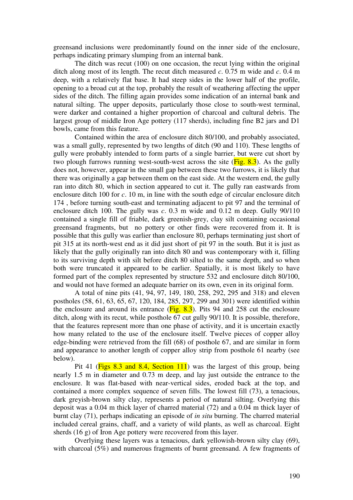greensand inclusions were predominantly found on the inner side of the enclosure, perhaps indicating primary slumping from an internal bank.

The ditch was recut (100) on one occasion, the recut lying within the original ditch along most of its length. The recut ditch measured *c*. 0.75 m wide and *c*. 0.4 m deep, with a relatively flat base. It had steep sides in the lower half of the profile, opening to a broad cut at the top, probably the result of weathering affecting the upper sides of the ditch. The filling again provides some indication of an internal bank and natural silting. The upper deposits, particularly those close to south-west terminal, were darker and contained a higher proportion of charcoal and cultural debris. The largest group of middle Iron Age pottery (117 sherds), including fine B2 jars and D1 bowls, came from this feature.

Contained within the area of enclosure ditch 80/100, and probably associated, was a small gully, represented by two lengths of ditch (90 and 110). These lengths of gully were probably intended to form parts of a single barrier, but were cut short by two plough furrows running west-south-west across the site  $(Fig. 8.3)$ . As the gully does not, however, appear in the small gap between these two furrows, it is likely that there was originally a gap between them on the east side. At the western end, the gully ran into ditch 80, which in section appeared to cut it. The gully ran eastwards from enclosure ditch 100 for *c*. 10 m, in line with the south edge of circular enclosure ditch 174 , before turning south-east and terminating adjacent to pit 97 and the terminal of enclosure ditch 100. The gully was *c*. 0.3 m wide and 0.12 m deep. Gully 90/110 contained a single fill of friable, dark greenish-grey, clay silt containing occasional greensand fragments, but no pottery or other finds were recovered from it. It is possible that this gully was earlier than enclosure 80, perhaps terminating just short of pit 315 at its north-west end as it did just short of pit 97 in the south. But it is just as likely that the gully originally ran into ditch 80 and was contemporary with it, filling to its surviving depth with silt before ditch 80 silted to the same depth, and so when both were truncated it appeared to be earlier. Spatially, it is most likely to have formed part of the complex represented by structure 532 and enclosure ditch 80/100, and would not have formed an adequate barrier on its own, even in its original form.

A total of nine pits (41, 94, 97, 149, 180, 258, 292, 295 and 318) and eleven postholes (58, 61, 63, 65, 67, 120, 184, 285, 297, 299 and 301) were identified within the enclosure and around its entrance  $(Fig. 8.3)$ . Pits 94 and 258 cut the enclosure ditch, along with its recut, while posthole 67 cut gully 90/110. It is possible, therefore, that the features represent more than one phase of activity, and it is uncertain exactly how many related to the use of the enclosure itself. Twelve pieces of copper alloy edge-binding were retrieved from the fill (68) of posthole 67, and are similar in form and appearance to another length of copper alloy strip from posthole 61 nearby (see below).

Pit 41 (Figs 8.3 and 8.4, Section 111) was the largest of this group, being nearly 1.5 m in diameter and 0.73 m deep, and lay just outside the entrance to the enclosure. It was flat-based with near-vertical sides, eroded back at the top, and contained a more complex sequence of seven fills. The lowest fill (73), a tenacious, dark greyish-brown silty clay, represents a period of natural silting. Overlying this deposit was a 0.04 m thick layer of charred material (72) and a 0.04 m thick layer of burnt clay (71), perhaps indicating an episode of *in situ* burning. The charred material included cereal grains, chaff, and a variety of wild plants, as well as charcoal. Eight sherds (16 g) of Iron Age pottery were recovered from this layer.

Overlying these layers was a tenacious, dark yellowish-brown silty clay (69), with charcoal (5%) and numerous fragments of burnt greensand. A few fragments of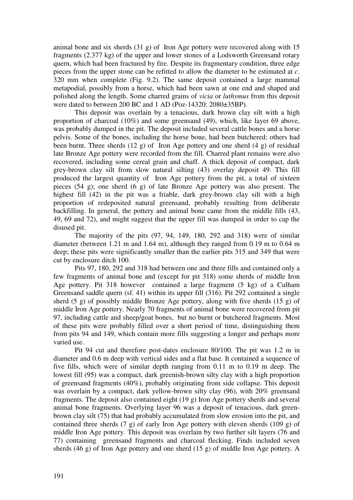animal bone and six sherds (31 g) of Iron Age pottery were recovered along with 15 fragments (2.377 kg) of the upper and lower stones of a Lodsworth Greensand rotary quern, which had been fractured by fire. Despite its fragmentary condition, three edge pieces from the upper stone can be refitted to allow the diameter to be estimated at *c*. 320 mm when complete (Fig. 9.2). The same deposit contained a large mammal metapodial, possibly from a horse, which had been sawn at one end and shaped and polished along the length. Some charred grains of *vicia* or *luthymus* from this deposit were dated to between 200 BC and 1 AD (Poz-14320: 2080±35BP).

This deposit was overlain by a tenacious, dark brown clay silt with a high proportion of charcoal (10%) and some greensand (49), which, like layer 69 above, was probably dumped in the pit. The deposit included several cattle bones and a horse pelvis. Some of the bones, including the horse bone, had been butchered; others had been burnt. Three sherds (12 g) of Iron Age pottery and one sherd (4 g) of residual late Bronze Age pottery were recorded from the fill. Charred plant remains were also recovered, including some cereal grain and chaff. A thick deposit of compact, dark grey-brown clay silt from slow natural silting (43) overlay deposit 49. This fill produced the largest quantity of Iron Age pottery from the pit, a total of sixteen pieces (54 g); one sherd (6 g) of late Bronze Age pottery was also present. The highest fill (42) in the pit was a friable, dark grey-brown clay silt with a high proportion of redeposited natural greensand, probably resulting from deliberate backfilling. In general, the pottery and animal bone came from the middle fills (43, 49, 69 and 72), and might suggest that the upper fill was dumped in order to cap the disused pit.

The majority of the pits (97, 94, 149, 180, 292 and 318) were of similar diameter (between 1.21 m and 1.64 m), although they ranged from 0.19 m to 0.64 m deep; these pits were significantly smaller than the earlier pits 315 and 349 that were cut by enclosure ditch 100.

Pits 97, 180, 292 and 318 had between one and three fills and contained only a few fragments of animal bone and (except for pit 318) some sherds of middle Iron Age pottery. Pit 318 however contained a large fragment (5 kg) of a Culham Greensand saddle quern (sf. 41) within its upper fill (316). Pit 292 contained a single sherd (5 g) of possibly middle Bronze Age pottery, along with five sherds (15 g) of middle Iron Age pottery. Nearly 70 fragments of animal bone were recovered from pit 97, including cattle and sheep/goat bones, but no burnt or butchered fragments. Most of these pits were probably filled over a short period of time, distinguishing them from pits 94 and 149, which contain more fills suggesting a longer and perhaps more varied use.

Pit 94 cut and therefore post-dates enclosure 80/100. The pit was 1.2 m in diameter and 0.6 m deep with vertical sides and a flat base. It contained a sequence of five fills, which were of similar depth ranging from 0.11 m to 0.19 m deep. The lowest fill (95) was a compact, dark greenish-brown silty clay with a high proportion of greensand fragments (40%), probably originating from side collapse. This deposit was overlain by a compact, dark yellow-brown silty clay (96), with 20% greensand fragments. The deposit also contained eight (19 g) Iron Age pottery sherds and several animal bone fragments. Overlying layer 96 was a deposit of tenacious, dark greenbrown clay silt (75) that had probably accumulated from slow erosion into the pit, and contained three sherds (7 g) of early Iron Age pottery with eleven sherds (109 g) of middle Iron Age pottery. This deposit was overlain by two further silt layers (76 and 77) containing greensand fragments and charcoal flecking. Finds included seven sherds (46 g) of Iron Age pottery and one sherd (15 g) of middle Iron Age pottery. A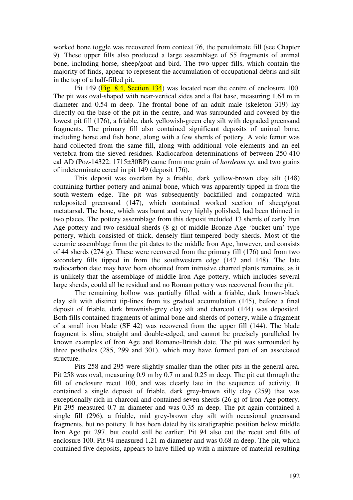worked bone toggle was recovered from context 76, the penultimate fill (see Chapter 9). These upper fills also produced a large assemblage of 55 fragments of animal bone, including horse, sheep/goat and bird. The two upper fills, which contain the majority of finds, appear to represent the accumulation of occupational debris and silt in the top of a half-filled pit.

Pit 149 (Fig. 8.4, Section 134) was located near the centre of enclosure 100. The pit was oval-shaped with near-vertical sides and a flat base, measuring 1.64 m in diameter and 0.54 m deep. The frontal bone of an adult male (skeleton 319) lay directly on the base of the pit in the centre, and was surrounded and covered by the lowest pit fill (176), a friable, dark yellowish-green clay silt with degraded greensand fragments. The primary fill also contained significant deposits of animal bone, including horse and fish bone, along with a few sherds of pottery. A vole femur was hand collected from the same fill, along with additional vole elements and an eel vertebra from the sieved residues. Radiocarbon determinations of between 250-410 cal AD (Poz-14322: 1715±30BP) came from one grain of *hordeum sp*. and two grains of indeterminate cereal in pit 149 (deposit 176).

This deposit was overlain by a friable, dark yellow-brown clay silt (148) containing further pottery and animal bone, which was apparently tipped in from the south-western edge. The pit was subsequently backfilled and compacted with redeposited greensand (147), which contained worked section of sheep/goat metatarsal. The bone, which was burnt and very highly polished, had been thinned in two places. The pottery assemblage from this deposit included 13 sherds of early Iron Age pottery and two residual sherds (8 g) of middle Bronze Age 'bucket urn' type pottery, which consisted of thick, densely flint-tempered body sherds. Most of the ceramic assemblage from the pit dates to the middle Iron Age, however, and consists of 44 sherds (274 g). These were recovered from the primary fill (176) and from two secondary fills tipped in from the southwestern edge (147 and 148). The late radiocarbon date may have been obtained from intrusive charred plants remains, as it is unlikely that the assemblage of middle Iron Age pottery, which includes several large sherds, could all be residual and no Roman pottery was recovered from the pit.

The remaining hollow was partially filled with a friable, dark brown-black clay silt with distinct tip-lines from its gradual accumulation (145), before a final deposit of friable, dark brownish-grey clay silt and charcoal (144) was deposited. Both fills contained fragments of animal bone and sherds of pottery, while a fragment of a small iron blade (SF 42) was recovered from the upper fill (144). The blade fragment is slim, straight and double-edged, and cannot be precisely paralleled by known examples of Iron Age and Romano-British date. The pit was surrounded by three postholes (285, 299 and 301), which may have formed part of an associated structure.

Pits 258 and 295 were slightly smaller than the other pits in the general area. Pit 258 was oval, measuring 0.9 m by 0.7 m and 0.25 m deep. The pit cut through the fill of enclosure recut 100, and was clearly late in the sequence of activity. It contained a single deposit of friable, dark grey-brown silty clay (259) that was exceptionally rich in charcoal and contained seven sherds (26 g) of Iron Age pottery. Pit 295 measured 0.7 m diameter and was 0.35 m deep. The pit again contained a single fill (296), a friable, mid grey-brown clay silt with occasional greensand fragments, but no pottery. It has been dated by its stratigraphic position below middle Iron Age pit 297, but could still be earlier. Pit 94 also cut the recut and fills of enclosure 100. Pit 94 measured 1.21 m diameter and was 0.68 m deep. The pit, which contained five deposits, appears to have filled up with a mixture of material resulting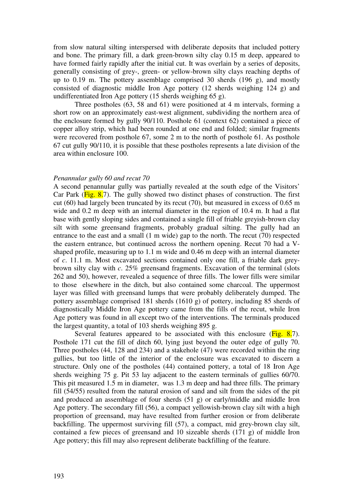from slow natural silting interspersed with deliberate deposits that included pottery and bone. The primary fill, a dark green-brown silty clay 0.15 m deep, appeared to have formed fairly rapidly after the initial cut. It was overlain by a series of deposits, generally consisting of grey-, green- or yellow-brown silty clays reaching depths of up to 0.19 m. The pottery assemblage comprised 30 sherds (196 g), and mostly consisted of diagnostic middle Iron Age pottery (12 sherds weighing 124 g) and undifferentiated Iron Age pottery (15 sherds weighing 65 g).

Three postholes (63, 58 and 61) were positioned at 4 m intervals, forming a short row on an approximately east-west alignment, subdividing the northern area of the enclosure formed by gully 90/110. Posthole 61 (context 62) contained a piece of copper alloy strip, which had been rounded at one end and folded; similar fragments were recovered from posthole 67, some 2 m to the north of posthole 61. As posthole 67 cut gully 90/110, it is possible that these postholes represents a late division of the area within enclosure 100.

### *Penannular gully 60 and recut 70*

A second penannular gully was partially revealed at the south edge of the Visitors' Car Park ( $\overline{Fig. 8.7}$ ). The gully showed two distinct phases of construction. The first cut (60) had largely been truncated by its recut (70), but measured in excess of 0.65 m wide and 0.2 m deep with an internal diameter in the region of 10.4 m. It had a flat base with gently sloping sides and contained a single fill of friable greyish-brown clay silt with some greensand fragments, probably gradual silting. The gully had an entrance to the east and a small (1 m wide) gap to the north. The recut (70) respected the eastern entrance, but continued across the northern opening. Recut 70 had a Vshaped profile, measuring up to 1.1 m wide and 0.46 m deep with an internal diameter of *c*. 11.1 m. Most excavated sections contained only one fill, a friable dark greybrown silty clay with *c*. 25% greensand fragments. Excavation of the terminal (slots 262 and 50), however, revealed a sequence of three fills. The lower fills were similar to those elsewhere in the ditch, but also contained some charcoal. The uppermost layer was filled with greensand lumps that were probably deliberately dumped. The pottery assemblage comprised 181 sherds (1610 g) of pottery, including 85 sherds of diagnostically Middle Iron Age pottery came from the fills of the recut, while Iron Age pottery was found in all except two of the interventions. The terminals produced the largest quantity, a total of 103 sherds weighing 895 g.

Several features appeared to be associated with this enclosure  $(Fig. 8.7)$ . Posthole 171 cut the fill of ditch 60, lying just beyond the outer edge of gully 70. Three postholes (44, 128 and 234) and a stakehole (47) were recorded within the ring gullies, but too little of the interior of the enclosure was excavated to discern a structure. Only one of the postholes (44) contained pottery, a total of 18 Iron Age sherds weighing 75 g. Pit 53 lay adjacent to the eastern terminals of gullies 60/70. This pit measured 1.5 m in diameter, was 1.3 m deep and had three fills. The primary fill (54/55) resulted from the natural erosion of sand and silt from the sides of the pit and produced an assemblage of four sherds (51 g) or early/middle and middle Iron Age pottery. The secondary fill (56), a compact yellowish-brown clay silt with a high proportion of greensand, may have resulted from further erosion or from deliberate backfilling. The uppermost surviving fill (57), a compact, mid grey-brown clay silt, contained a few pieces of greensand and 10 sizeable sherds (171 g) of middle Iron Age pottery; this fill may also represent deliberate backfilling of the feature.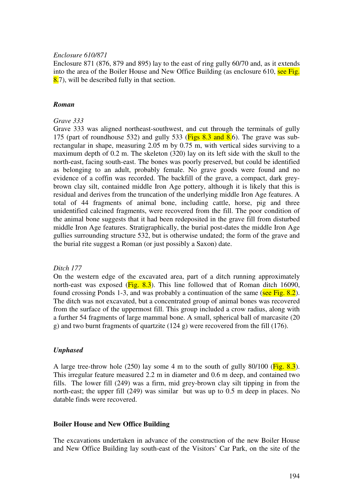### *Enclosure 610/871*

Enclosure 871 (876, 879 and 895) lay to the east of ring gully 60/70 and, as it extends into the area of the Boiler House and New Office Building (as enclosure 610, see Fig. 8.7), will be described fully in that section.

### *Roman*

### *Grave 333*

Grave 333 was aligned northeast-southwest, and cut through the terminals of gully 175 (part of roundhouse 532) and gully 533 ( $\overline{Figs 8.3}$  and  $\overline{8.6}$ ). The grave was subrectangular in shape, measuring 2.05 m by 0.75 m, with vertical sides surviving to a maximum depth of 0.2 m. The skeleton (320) lay on its left side with the skull to the north-east, facing south-east. The bones was poorly preserved, but could be identified as belonging to an adult, probably female. No grave goods were found and no evidence of a coffin was recorded. The backfill of the grave, a compact, dark greybrown clay silt, contained middle Iron Age pottery, although it is likely that this is residual and derives from the truncation of the underlying middle Iron Age features. A total of 44 fragments of animal bone, including cattle, horse, pig and three unidentified calcined fragments, were recovered from the fill. The poor condition of the animal bone suggests that it had been redeposited in the grave fill from disturbed middle Iron Age features. Stratigraphically, the burial post-dates the middle Iron Age gullies surrounding structure 532, but is otherwise undated; the form of the grave and the burial rite suggest a Roman (or just possibly a Saxon) date.

# *Ditch 177*

On the western edge of the excavated area, part of a ditch running approximately north-east was exposed ( $\overline{Fig. 8.3}$ ). This line followed that of Roman ditch 16090, found crossing Ponds 1-3, and was probably a continuation of the same (see Fig. 8.2). The ditch was not excavated, but a concentrated group of animal bones was recovered from the surface of the uppermost fill. This group included a crow radius, along with a further 54 fragments of large mammal bone. A small, spherical ball of marcasite (20 g) and two burnt fragments of quartzite (124 g) were recovered from the fill (176).

# *Unphased*

A large tree-throw hole  $(250)$  lay some 4 m to the south of gully 80/100 ( $\overline{Fig. 8.3}$ ). This irregular feature measured 2.2 m in diameter and 0.6 m deep, and contained two fills. The lower fill (249) was a firm, mid grey-brown clay silt tipping in from the north-east; the upper fill (249) was similar but was up to 0.5 m deep in places. No datable finds were recovered.

### **Boiler House and New Office Building**

The excavations undertaken in advance of the construction of the new Boiler House and New Office Building lay south-east of the Visitors' Car Park, on the site of the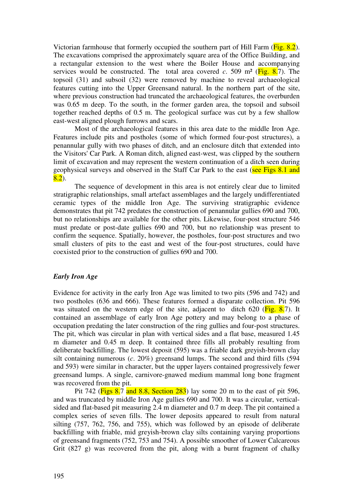Victorian farmhouse that formerly occupied the southern part of Hill Farm (Fig. 8.2). The excavations comprised the approximately square area of the Office Building, and a rectangular extension to the west where the Boiler House and accompanying services would be constructed. The total area covered  $c$ . 509 m<sup>2</sup> ( $\overline{Fig. 8.7}$ ). The topsoil (31) and subsoil (32) were removed by machine to reveal archaeological features cutting into the Upper Greensand natural. In the northern part of the site, where previous construction had truncated the archaeological features, the overburden was 0.65 m deep. To the south, in the former garden area, the topsoil and subsoil together reached depths of 0.5 m. The geological surface was cut by a few shallow east-west aligned plough furrows and scars.

Most of the archaeological features in this area date to the middle Iron Age. Features include pits and postholes (some of which formed four-post structures), a penannular gully with two phases of ditch, and an enclosure ditch that extended into the Visitors' Car Park. A Roman ditch, aligned east-west, was clipped by the southern limit of excavation and may represent the western continuation of a ditch seen during geophysical surveys and observed in the Staff Car Park to the east (see Figs 8.1 and  $8.2$ ).

The sequence of development in this area is not entirely clear due to limited stratigraphic relationships, small artefact assemblages and the largely undifferentiated ceramic types of the middle Iron Age. The surviving stratigraphic evidence demonstrates that pit 742 predates the construction of penannular gullies 690 and 700, but no relationships are available for the other pits. Likewise, four-post structure 546 must predate or post-date gullies 690 and 700, but no relationship was present to confirm the sequence. Spatially, however, the postholes, four-post structures and two small clusters of pits to the east and west of the four-post structures, could have coexisted prior to the construction of gullies 690 and 700.

# *Early Iron Age*

Evidence for activity in the early Iron Age was limited to two pits (596 and 742) and two postholes (636 and 666). These features formed a disparate collection. Pit 596 was situated on the western edge of the site, adjacent to ditch 620 ( $\overline{Fig. 8.7}$ ). It contained an assemblage of early Iron Age pottery and may belong to a phase of occupation predating the later construction of the ring gullies and four-post structures. The pit, which was circular in plan with vertical sides and a flat base, measured 1.45 m diameter and 0.45 m deep. It contained three fills all probably resulting from deliberate backfilling. The lowest deposit (595) was a friable dark greyish-brown clay silt containing numerous (*c*. 20%) greensand lumps. The second and third fills (594 and 593) were similar in character, but the upper layers contained progressively fewer greensand lumps. A single, carnivore-gnawed medium mammal long bone fragment was recovered from the pit.

Pit 742 ( $\overline{Figs 8.7}$  and 8.8, Section 283) lay some 20 m to the east of pit 596, and was truncated by middle Iron Age gullies 690 and 700. It was a circular, verticalsided and flat-based pit measuring 2.4 m diameter and 0.7 m deep. The pit contained a complex series of seven fills. The lower deposits appeared to result from natural silting (757, 762, 756, and 755), which was followed by an episode of deliberate backfilling with friable, mid greyish-brown clay silts containing varying proportions of greensand fragments (752, 753 and 754). A possible smoother of Lower Calcareous Grit (827 g) was recovered from the pit, along with a burnt fragment of chalky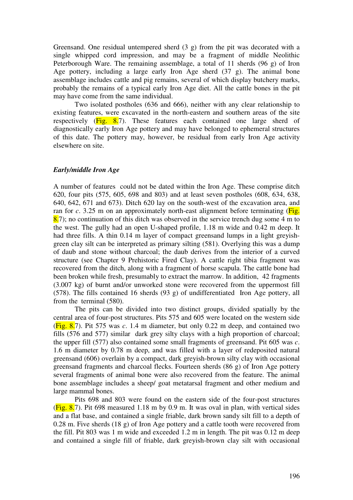Greensand. One residual untempered sherd (3 g) from the pit was decorated with a single whipped cord impression, and may be a fragment of middle Neolithic Peterborough Ware. The remaining assemblage, a total of 11 sherds (96 g) of Iron Age pottery, including a large early Iron Age sherd (37 g). The animal bone assemblage includes cattle and pig remains, several of which display butchery marks, probably the remains of a typical early Iron Age diet. All the cattle bones in the pit may have come from the same individual.

Two isolated postholes (636 and 666), neither with any clear relationship to existing features, were excavated in the north-eastern and southern areas of the site respectively  $(Fig. 8.7)$ . These features each contained one large sherd of diagnostically early Iron Age pottery and may have belonged to ephemeral structures of this date. The pottery may, however, be residual from early Iron Age activity elsewhere on site.

#### *Early/middle Iron Age*

A number of features could not be dated within the Iron Age. These comprise ditch 620, four pits (575, 605, 698 and 803) and at least seven postholes (608, 634, 638, 640, 642, 671 and 673). Ditch 620 lay on the south-west of the excavation area, and ran for *c*. 3.25 m on an approximately north-east alignment before terminating (Fig.  $8.7$ ; no continuation of this ditch was observed in the service trench dug some 4 m to the west. The gully had an open U-shaped profile, 1.18 m wide and 0.42 m deep. It had three fills. A thin 0.14 m layer of compact greensand lumps in a light greyishgreen clay silt can be interpreted as primary silting (581). Overlying this was a dump of daub and stone without charcoal; the daub derives from the interior of a curved structure (see Chapter 9 Prehistoric Fired Clay). A cattle right tibia fragment was recovered from the ditch, along with a fragment of horse scapula. The cattle bone had been broken while fresh, presumably to extract the marrow. In addition, 42 fragments (3.007 kg) of burnt and/or unworked stone were recovered from the uppermost fill (578). The fills contained 16 sherds (93 g) of undifferentiated Iron Age pottery, all from the terminal (580).

The pits can be divided into two distinct groups, divided spatially by the central area of four-post structures. Pits 575 and 605 were located on the western side (Fig. 8.7). Pit 575 was *c*. 1.4 m diameter, but only 0.22 m deep, and contained two fills (576 and 577) similar dark grey silty clays with a high proportion of charcoal; the upper fill (577) also contained some small fragments of greensand. Pit 605 was *c*. 1.6 m diameter by 0.78 m deep, and was filled with a layer of redeposited natural greensand (606) overlain by a compact, dark greyish-brown silty clay with occasional greensand fragments and charcoal flecks. Fourteen sherds (86 g) of Iron Age pottery several fragments of animal bone were also recovered from the feature. The animal bone assemblage includes a sheep/ goat metatarsal fragment and other medium and large mammal bones.

Pits 698 and 803 were found on the eastern side of the four-post structures ( $Fig. 8.7$ ). Pit 698 measured 1.18 m by 0.9 m. It was oval in plan, with vertical sides and a flat base, and contained a single friable, dark brown sandy silt fill to a depth of 0.28 m. Five sherds (18 g) of Iron Age pottery and a cattle tooth were recovered from the fill. Pit 803 was 1 m wide and exceeded 1.2 m in length. The pit was 0.12 m deep and contained a single fill of friable, dark greyish-brown clay silt with occasional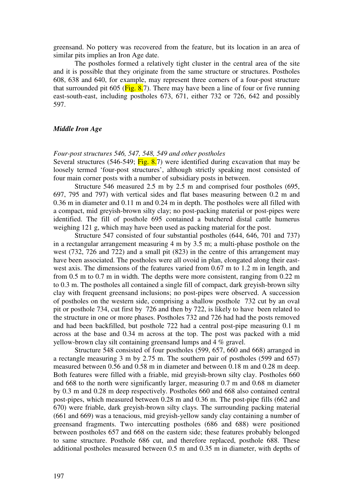greensand. No pottery was recovered from the feature, but its location in an area of similar pits implies an Iron Age date.

The postholes formed a relatively tight cluster in the central area of the site and it is possible that they originate from the same structure or structures. Postholes 608, 638 and 640, for example, may represent three corners of a four-post structure that surrounded pit 605 ( $\overline{Fig. 8.7}$ ). There may have been a line of four or five running east-south-east, including postholes 673, 671, either 732 or 726, 642 and possibly 597.

### *Middle Iron Age*

#### *Four-post structures 546, 547, 548, 549 and other postholes*

Several structures (546-549;  $\overline{Fig. 8.7}$ ) were identified during excavation that may be loosely termed 'four-post structures', although strictly speaking most consisted of four main corner posts with a number of subsidiary posts in between.

Structure 546 measured 2.5 m by 2.5 m and comprised four postholes (695, 697, 795 and 797) with vertical sides and flat bases measuring between 0.2 m and 0.36 m in diameter and 0.11 m and 0.24 m in depth. The postholes were all filled with a compact, mid greyish-brown silty clay; no post-packing material or post-pipes were identified. The fill of posthole 695 contained a butchered distal cattle humerus weighing 121 g, which may have been used as packing material for the post.

Structure 547 consisted of four substantial postholes (644, 646, 701 and 737) in a rectangular arrangement measuring 4 m by 3.5 m; a multi-phase posthole on the west (732, 726 and 722) and a small pit (823) in the centre of this arrangement may have been associated. The postholes were all ovoid in plan, elongated along their eastwest axis. The dimensions of the features varied from 0.67 m to 1.2 m in length, and from 0.5 m to 0.7 m in width. The depths were more consistent, ranging from 0.22 m to 0.3 m. The postholes all contained a single fill of compact, dark greyish-brown silty clay with frequent greensand inclusions; no post-pipes were observed. A succession of postholes on the western side, comprising a shallow posthole 732 cut by an oval pit or posthole 734, cut first by 726 and then by 722, is likely to have been related to the structure in one or more phases. Postholes 732 and 726 had had the posts removed and had been backfilled, but posthole 722 had a central post-pipe measuring 0.1 m across at the base and 0.34 m across at the top. The post was packed with a mid yellow-brown clay silt containing greensand lumps and 4 % gravel.

Structure 548 consisted of four postholes (599, 657, 660 and 668) arranged in a rectangle measuring 3 m by 2.75 m. The southern pair of postholes (599 and 657) measured between 0.56 and 0.58 m in diameter and between 0.18 m and 0.28 m deep. Both features were filled with a friable, mid greyish-brown silty clay. Postholes 660 and 668 to the north were significantly larger, measuring 0.7 m and 0.68 m diameter by 0.3 m and 0.28 m deep respectively. Postholes 660 and 668 also contained central post-pipes, which measured between 0.28 m and 0.36 m. The post-pipe fills (662 and 670) were friable, dark greyish-brown silty clays. The surrounding packing material (661 and 669) was a tenacious, mid greyish-yellow sandy clay containing a number of greensand fragments. Two intercutting postholes (686 and 688) were positioned between postholes 657 and 668 on the eastern side; these features probably belonged to same structure. Posthole 686 cut, and therefore replaced, posthole 688. These additional postholes measured between 0.5 m and 0.35 m in diameter, with depths of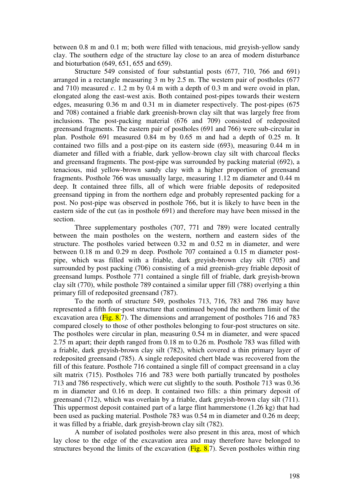between 0.8 m and 0.1 m; both were filled with tenacious, mid greyish-yellow sandy clay. The southern edge of the structure lay close to an area of modern disturbance and bioturbation (649, 651, 655 and 659).

Structure 549 consisted of four substantial posts (677, 710, 766 and 691) arranged in a rectangle measuring 3 m by 2.5 m. The western pair of postholes (677 and 710) measured *c*. 1.2 m by 0.4 m with a depth of 0.3 m and were ovoid in plan, elongated along the east-west axis. Both contained post-pipes towards their western edges, measuring 0.36 m and 0.31 m in diameter respectively. The post-pipes (675 and 708) contained a friable dark greenish-brown clay silt that was largely free from inclusions. The post-packing material (676 and 709) consisted of redeposited greensand fragments. The eastern pair of postholes (691 and 766) were sub-circular in plan. Posthole 691 measured 0.84 m by 0.65 m and had a depth of 0.25 m. It contained two fills and a post-pipe on its eastern side (693), measuring 0.44 m in diameter and filled with a friable, dark yellow-brown clay silt with charcoal flecks and greensand fragments. The post-pipe was surrounded by packing material (692), a tenacious, mid yellow-brown sandy clay with a higher proportion of greensand fragments. Posthole 766 was unusually large, measuring 1.12 m diameter and 0.44 m deep. It contained three fills, all of which were friable deposits of redeposited greensand tipping in from the northern edge and probably represented packing for a post. No post-pipe was observed in posthole 766, but it is likely to have been in the eastern side of the cut (as in posthole 691) and therefore may have been missed in the section.

Three supplementary postholes (707, 771 and 789) were located centrally between the main postholes on the western, northern and eastern sides of the structure. The postholes varied between 0.32 m and 0.52 m in diameter, and were between 0.18 m and 0.29 m deep. Posthole 707 contained a 0.15 m diameter postpipe, which was filled with a friable, dark greyish-brown clay silt (705) and surrounded by post packing (706) consisting of a mid greenish-grey friable deposit of greensand lumps. Posthole 771 contained a single fill of friable, dark greyish-brown clay silt (770), while posthole 789 contained a similar upper fill (788) overlying a thin primary fill of redeposited greensand (787).

To the north of structure 549, postholes 713, 716, 783 and 786 may have represented a fifth four-post structure that continued beyond the northern limit of the excavation area ( $\overline{Fig. 8.7}$ ). The dimensions and arrangement of postholes 716 and 783 compared closely to those of other postholes belonging to four-post structures on site. The postholes were circular in plan, measuring 0.54 m in diameter, and were spaced 2.75 m apart; their depth ranged from 0.18 m to 0.26 m. Posthole 783 was filled with a friable, dark greyish-brown clay silt (782), which covered a thin primary layer of redeposited greensand (785). A single redeposited chert blade was recovered from the fill of this feature. Posthole 716 contained a single fill of compact greensand in a clay silt matrix (715). Postholes 716 and 783 were both partially truncated by postholes 713 and 786 respectively, which were cut slightly to the south. Posthole 713 was 0.36 m in diameter and 0.16 m deep. It contained two fills: a thin primary deposit of greensand (712), which was overlain by a friable, dark greyish-brown clay silt (711). This uppermost deposit contained part of a large flint hammerstone (1.26 kg) that had been used as packing material. Posthole 783 was 0.54 m in diameter and 0.26 m deep; it was filled by a friable, dark greyish-brown clay silt (782).

A number of isolated postholes were also present in this area, most of which lay close to the edge of the excavation area and may therefore have belonged to structures beyond the limits of the excavation ( $Fig. 8.7$ ). Seven postholes within ring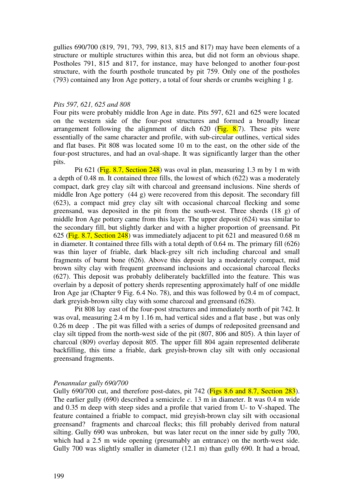gullies 690/700 (819, 791, 793, 799, 813, 815 and 817) may have been elements of a structure or multiple structures within this area, but did not form an obvious shape. Postholes 791, 815 and 817, for instance, may have belonged to another four-post structure, with the fourth posthole truncated by pit 759. Only one of the postholes (793) contained any Iron Age pottery, a total of four sherds or crumbs weighing 1 g.

#### *Pits 597, 621, 625 and 808*

Four pits were probably middle Iron Age in date. Pits 597, 621 and 625 were located on the western side of the four-post structures and formed a broadly linear arrangement following the alignment of ditch  $620$  (Fig. 8.7). These pits were essentially of the same character and profile, with sub-circular outlines, vertical sides and flat bases. Pit 808 was located some 10 m to the east, on the other side of the four-post structures, and had an oval-shape. It was significantly larger than the other pits.

Pit 621 (Fig. 8.7, Section 248) was oval in plan, measuring 1.3 m by 1 m with a depth of 0.48 m. It contained three fills, the lowest of which (622) was a moderately compact, dark grey clay silt with charcoal and greensand inclusions. Nine sherds of middle Iron Age pottery (44 g) were recovered from this deposit. The secondary fill (623), a compact mid grey clay silt with occasional charcoal flecking and some greensand, was deposited in the pit from the south-west. Three sherds (18 g) of middle Iron Age pottery came from this layer. The upper deposit (624) was similar to the secondary fill, but slightly darker and with a higher proportion of greensand. Pit 625 (Fig. 8.7, Section 248) was immediately adjacent to pit 621 and measured 0.68 m in diameter. It contained three fills with a total depth of 0.64 m. The primary fill (626) was thin layer of friable, dark black-grey silt rich including charcoal and small fragments of burnt bone (626). Above this deposit lay a moderately compact, mid brown silty clay with frequent greensand inclusions and occasional charcoal flecks (627). This deposit was probably deliberately backfilled into the feature. This was overlain by a deposit of pottery sherds representing approximately half of one middle Iron Age jar (Chapter 9 Fig. 6.4 No. 78), and this was followed by 0.4 m of compact, dark greyish-brown silty clay with some charcoal and greensand (628).

 Pit 808 lay east of the four-post structures and immediately north of pit 742. It was oval, measuring 2.4 m by 1.16 m, had vertical sides and a flat base , but was only 0.26 m deep . The pit was filled with a series of dumps of redeposited greensand and clay silt tipped from the north-west side of the pit (807, 806 and 805). A thin layer of charcoal (809) overlay deposit 805. The upper fill 804 again represented deliberate backfilling, this time a friable, dark greyish-brown clay silt with only occasional greensand fragments.

### *Penannular gully 690/700*

Gully 690/700 cut, and therefore post-dates, pit 742 (Figs 8.6 and 8.7, Section 283). The earlier gully (690) described a semicircle *c*. 13 m in diameter. It was 0.4 m wide and 0.35 m deep with steep sides and a profile that varied from U- to V-shaped. The feature contained a friable to compact, mid greyish-brown clay silt with occasional greensand? fragments and charcoal flecks; this fill probably derived from natural silting. Gully 690 was unbroken, but was later recut on the inner side by gully 700, which had a 2.5 m wide opening (presumably an entrance) on the north-west side. Gully 700 was slightly smaller in diameter (12.1 m) than gully 690. It had a broad,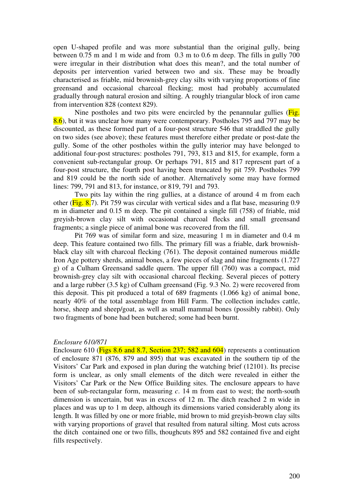open U-shaped profile and was more substantial than the original gully, being between 0.75 m and 1 m wide and from 0.3 m to 0.6 m deep. The fills in gully 700 were irregular in their distribution what does this mean?, and the total number of deposits per intervention varied between two and six. These may be broadly characterised as friable, mid brownish-grey clay silts with varying proportions of fine greensand and occasional charcoal flecking; most had probably accumulated gradually through natural erosion and silting. A roughly triangular block of iron came from intervention 828 (context 829).

Nine postholes and two pits were encircled by the penannular gullies  $(Fig.$ 8.6), but it was unclear how many were contemporary. Postholes 795 and 797 may be discounted, as these formed part of a four-post structure 546 that straddled the gully on two sides (see above); these features must therefore either predate or post-date the gully. Some of the other postholes within the gully interior may have belonged to additional four-post structures: postholes 791, 793, 813 and 815, for example, form a convenient sub-rectangular group. Or perhaps 791, 815 and 817 represent part of a four-post structure, the fourth post having been truncated by pit 759. Postholes 799 and 819 could be the north side of another. Alternatively some may have formed lines: 799, 791 and 813, for instance, or 819, 791 and 793.

Two pits lay within the ring gullies, at a distance of around 4 m from each other (Fig. 8.7). Pit 759 was circular with vertical sides and a flat base, measuring 0.9 m in diameter and 0.15 m deep. The pit contained a single fill (758) of friable, mid greyish-brown clay silt with occasional charcoal flecks and small greensand fragments; a single piece of animal bone was recovered from the fill.

Pit 769 was of similar form and size, measuring 1 m in diameter and 0.4 m deep. This feature contained two fills. The primary fill was a friable, dark brownishblack clay silt with charcoal flecking (761). The deposit contained numerous middle Iron Age pottery sherds, animal bones, a few pieces of slag and nine fragments (1.727 g) of a Culham Greensand saddle quern. The upper fill (760) was a compact, mid brownish-grey clay silt with occasional charcoal flecking. Several pieces of pottery and a large rubber (3.5 kg) of Culham greensand (Fig. 9.3 No. 2) were recovered from this deposit. This pit produced a total of 689 fragments (1.066 kg) of animal bone, nearly 40% of the total assemblage from Hill Farm. The collection includes cattle, horse, sheep and sheep/goat, as well as small mammal bones (possibly rabbit). Only two fragments of bone had been butchered; some had been burnt.

#### *Enclosure 610/871*

Enclosure 610 (Figs 8.6 and 8.7, Section 237; 582 and 604) represents a continuation of enclosure 871 (876, 879 and 895) that was excavated in the southern tip of the Visitors' Car Park and exposed in plan during the watching brief (12101). Its precise form is unclear, as only small elements of the ditch were revealed in either the Visitors' Car Park or the New Office Building sites. The enclosure appears to have been of sub-rectangular form, measuring *c*. 14 m from east to west; the north-south dimension is uncertain, but was in excess of 12 m. The ditch reached 2 m wide in places and was up to 1 m deep, although its dimensions varied considerably along its length. It was filled by one or more friable, mid brown to mid greyish-brown clay silts with varying proportions of gravel that resulted from natural silting. Most cuts across the ditch contained one or two fills, thoughcuts 895 and 582 contained five and eight fills respectively.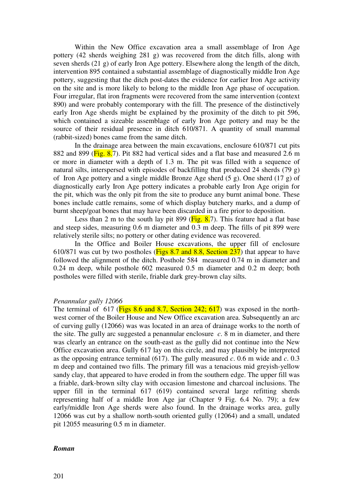Within the New Office excavation area a small assemblage of Iron Age pottery (42 sherds weighing 281 g) was recovered from the ditch fills, along with seven sherds (21 g) of early Iron Age pottery. Elsewhere along the length of the ditch, intervention 895 contained a substantial assemblage of diagnostically middle Iron Age pottery, suggesting that the ditch post-dates the evidence for earlier Iron Age activity on the site and is more likely to belong to the middle Iron Age phase of occupation. Four irregular, flat iron fragments were recovered from the same intervention (context 890) and were probably contemporary with the fill. The presence of the distinctively early Iron Age sherds might be explained by the proximity of the ditch to pit 596, which contained a sizeable assemblage of early Iron Age pottery and may be the source of their residual presence in ditch 610/871. A quantity of small mammal (rabbit-sized) bones came from the same ditch.

In the drainage area between the main excavations, enclosure 610/871 cut pits 882 and 899 (Fig. 8.7). Pit 882 had vertical sides and a flat base and measured 2.6 m or more in diameter with a depth of 1.3 m. The pit was filled with a sequence of natural silts, interspersed with episodes of backfilling that produced 24 sherds (79 g) of Iron Age pottery and a single middle Bronze Age sherd (5 g). One sherd (17 g) of diagnostically early Iron Age pottery indicates a probable early Iron Age origin for the pit, which was the only pit from the site to produce any burnt animal bone. These bones include cattle remains, some of which display butchery marks, and a dump of burnt sheep/goat bones that may have been discarded in a fire prior to deposition.

Less than 2 m to the south lay pit 899 ( $\overline{Fig. 8.7}$ ). This feature had a flat base and steep sides, measuring 0.6 m diameter and 0.3 m deep. The fills of pit 899 were relatively sterile silts; no pottery or other dating evidence was recovered.

In the Office and Boiler House excavations, the upper fill of enclosure 610/871 was cut by two postholes (Figs 8.7 and 8.8, Section 237) that appear to have followed the alignment of the ditch. Posthole 584 measured 0.74 m in diameter and 0.24 m deep, while posthole 602 measured 0.5 m diameter and 0.2 m deep; both postholes were filled with sterile, friable dark grey-brown clay silts.

### *Penannular gully 12066*

The terminal of 617 ( $Figs 8.6$  and 8.7, Section 242; 617) was exposed in the northwest corner of the Boiler House and New Office excavation area. Subsequently an arc of curving gully (12066) was was located in an area of drainage works to the north of the site. The gully arc suggested a penannular enclosure *c*. 8 m in diameter, and there was clearly an entrance on the south-east as the gully did not continue into the New Office excavation area. Gully 617 lay on this circle, and may plausibly be interpreted as the opposing entrance terminal (617). The gully measured *c*. 0.6 m wide and *c*. 0.3 m deep and contained two fills. The primary fill was a tenacious mid greyish-yellow sandy clay, that appeared to have eroded in from the southern edge. The upper fill was a friable, dark-brown silty clay with occasion limestone and charcoal inclusions. The upper fill in the terminal 617 (619) contained several large refitting sherds representing half of a middle Iron Age jar (Chapter 9 Fig. 6.4 No. 79); a few early/middle Iron Age sherds were also found. In the drainage works area, gully 12066 was cut by a shallow north-south oriented gully (12064) and a small, undated pit 12055 measuring 0.5 m in diameter.

#### *Roman*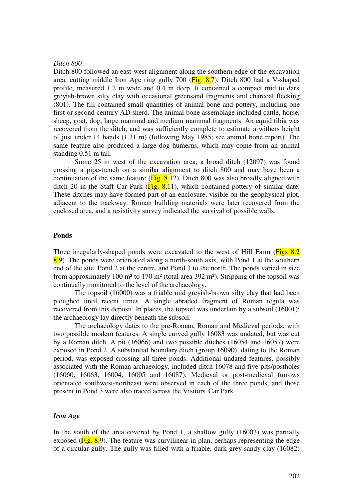#### *Ditch 800*

Ditch 800 followed an east-west alignment along the southern edge of the excavation area, cutting middle Iron Age ring gully 700 (Fig. 8.7). Ditch 800 had a V-shaped profile, measured 1.2 m wide and 0.4 m deep. It contained a compact mid to dark greyish-brown silty clay with occasional greensand fragments and charcoal flecking (801). The fill contained small quantities of animal bone and pottery, including one first or second century AD sherd. The animal bone assemblage included cattle, horse, sheep, goat, dog, large mammal and medium mammal fragments. An equid tibia was recovered from the ditch, and was sufficiently complete to estimate a withers height of just under 14 hands (1.31 m) (following May 1985; see animal bone report). The same feature also produced a large dog humerus, which may come from an animal standing 0.51 m tall.

Some 25 m west of the excavation area, a broad ditch (12097) was found crossing a pipe-trench on a similar alignment to ditch 800 and may have been a continuation of the same feature ( $Fig. 8.12$ ). Ditch 800 was also broadly aligned with ditch 20 in the Staff Car Park ( $\overline{Fig. 8.11}$ ), which contained pottery of similar date. These ditches may have formed part of an enclosure, visible on the geophysical plot, adjacent to the trackway. Roman building materials were later recovered from the enclosed area, and a resistivity survey indicated the survival of possible walls.

#### **Ponds**

Three irregularly-shaped ponds were excavated to the west of Hill Farm (Figs 8.2) 8.9). The ponds were orientated along a north-south axis, with Pond 1 at the southern end of the site, Pond 2 at the centre, and Pond 3 to the north. The ponds varied in size from approximately 100 m<sup>2</sup> to 170 m<sup>2</sup> (total area 392 m<sup>2</sup>). Stripping of the topsoil was continually monitored to the level of the archaeology.

The topsoil (16000) was a friable mid greyish-brown silty clay that had been ploughed until recent times. A single abraded fragment of Roman tegula was recovered from this deposit. In places, the topsoil was underlain by a subsoil (16001); the archaeology lay directly beneath the subsoil.

The archaeology dates to the pre-Roman, Roman and Medieval periods, with two possible modern features. A single curved gully 16083 was undated, but was cut by a Roman ditch. A pit (16066) and two possible ditches (16054 and 16057) were exposed in Pond 2. A substantial boundary ditch (group 16090), dating to the Roman period, was exposed crossing all three ponds. Additional undated features, possibly associated with the Roman archaeology, included ditch 16078 and five pits/postholes (16060, 16063, 16004, 16005 and 16087). Medieval or post-medieval furrows orientated southwest-northeast were observed in each of the three ponds, and those present in Pond 3 were also traced across the Visitors' Car Park.

### *Iron Age*

In the south of the area covered by Pond 1, a shallow gully (16003) was partially exposed ( $\overline{Fig. 8.9}$ ). The feature was curvilinear in plan, perhaps representing the edge of a circular gully. The gully was filled with a friable, dark grey sandy clay (16082)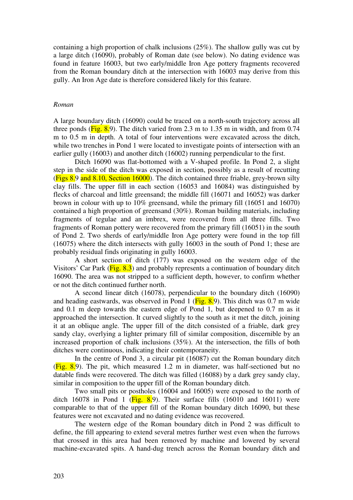containing a high proportion of chalk inclusions (25%). The shallow gully was cut by a large ditch (16090), probably of Roman date (see below). No dating evidence was found in feature 16003, but two early/middle Iron Age pottery fragments recovered from the Roman boundary ditch at the intersection with 16003 may derive from this gully. An Iron Age date is therefore considered likely for this feature.

#### *Roman*

A large boundary ditch (16090) could be traced on a north-south trajectory across all three ponds ( $\overline{Fig. 8.9}$ ). The ditch varied from 2.3 m to 1.35 m in width, and from 0.74 m to 0.5 m in depth. A total of four interventions were excavated across the ditch, while two trenches in Pond 1 were located to investigate points of intersection with an earlier gully (16003) and another ditch (16002) running perpendicular to the first.

Ditch 16090 was flat-bottomed with a V-shaped profile. In Pond 2, a slight step in the side of the ditch was exposed in section, possibly as a result of recutting ( $Figs 8.9$  and  $8.10$ , Section 16000). The ditch contained three friable, grey-brown silty clay fills. The upper fill in each section (16053 and 16084) was distinguished by flecks of charcoal and little greensand; the middle fill (16071 and 16052) was darker brown in colour with up to 10% greensand, while the primary fill (16051 and 16070) contained a high proportion of greensand (30%). Roman building materials, including fragments of tegulae and an imbrex, were recovered from all three fills. Two fragments of Roman pottery were recovered from the primary fill (16051) in the south of Pond 2. Two sherds of early/middle Iron Age pottery were found in the top fill (16075) where the ditch intersects with gully 16003 in the south of Pond 1; these are probably residual finds originating in gully 16003.

A short section of ditch (177) was exposed on the western edge of the Visitors' Car Park ( $\overline{Fig. 8.3}$ ) and probably represents a continuation of boundary ditch 16090. The area was not stripped to a sufficient depth, however, to confirm whether or not the ditch continued further north.

A second linear ditch (16078), perpendicular to the boundary ditch (16090) and heading eastwards, was observed in Pond 1 ( $\overline{Fig. 8.9}$ ). This ditch was 0.7 m wide and 0.1 m deep towards the eastern edge of Pond 1, but deepened to 0.7 m as it approached the intersection. It curved slightly to the south as it met the ditch, joining it at an oblique angle. The upper fill of the ditch consisted of a friable, dark grey sandy clay, overlying a lighter primary fill of similar composition, discernible by an increased proportion of chalk inclusions (35%). At the intersection, the fills of both ditches were continuous, indicating their contemporaneity.

In the centre of Pond 3, a circular pit (16087) cut the Roman boundary ditch  $(Fig. 8.9)$ . The pit, which measured 1.2 m in diameter, was half-sectioned but no datable finds were recovered. The ditch was filled (16088) by a dark grey sandy clay, similar in composition to the upper fill of the Roman boundary ditch.

Two small pits or postholes (16004 and 16005) were exposed to the north of ditch 16078 in Pond 1 ( $\overline{Fig. 8.9}$ ). Their surface fills (16010 and 16011) were comparable to that of the upper fill of the Roman boundary ditch 16090, but these features were not excavated and no dating evidence was recovered.

The western edge of the Roman boundary ditch in Pond 2 was difficult to define, the fill appearing to extend several metres further west even when the furrows that crossed in this area had been removed by machine and lowered by several machine-excavated spits. A hand-dug trench across the Roman boundary ditch and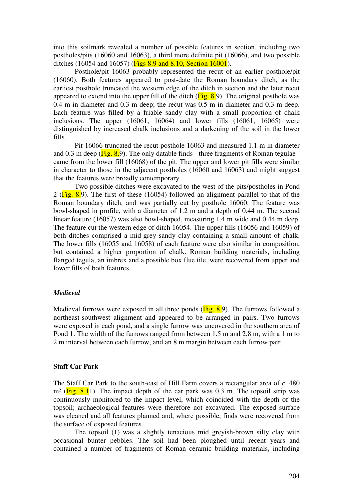into this soilmark revealed a number of possible features in section, including two postholes/pits (16060 and 16063), a third more definite pit (16066), and two possible ditches (16054 and 16057) (Figs 8.9 and 8.10, Section 16001).

Posthole/pit 16063 probably represented the recut of an earlier posthole/pit (16060). Both features appeared to post-date the Roman boundary ditch, as the earliest posthole truncated the western edge of the ditch in section and the later recut appeared to extend into the upper fill of the ditch  $(Fig. 8.9)$ . The original posthole was 0.4 m in diameter and 0.3 m deep; the recut was 0.5 m in diameter and 0.3 m deep. Each feature was filled by a friable sandy clay with a small proportion of chalk inclusions. The upper (16061, 16064) and lower fills (16061, 16065) were distinguished by increased chalk inclusions and a darkening of the soil in the lower fills.

Pit 16066 truncated the recut posthole 16063 and measured 1.1 m in diameter and  $0.3$  m deep ( $\overline{Fig. 8.9}$ ). The only datable finds - three fragments of Roman tegulae came from the lower fill (16068) of the pit. The upper and lower pit fills were similar in character to those in the adjacent postholes (16060 and 16063) and might suggest that the features were broadly contemporary.

Two possible ditches were excavated to the west of the pits/postholes in Pond 2 ( $\text{Fig. 8.9}$ ). The first of these (16054) followed an alignment parallel to that of the Roman boundary ditch, and was partially cut by posthole 16060. The feature was bowl-shaped in profile, with a diameter of 1.2 m and a depth of 0.44 m. The second linear feature (16057) was also bowl-shaped, measuring 1.4 m wide and 0.44 m deep. The feature cut the western edge of ditch 16054. The upper fills (16056 and 16059) of both ditches comprised a mid-grey sandy clay containing a small amount of chalk. The lower fills (16055 and 16058) of each feature were also similar in composition, but contained a higher proportion of chalk. Roman building materials, including flanged tegula, an imbrex and a possible box flue tile, were recovered from upper and lower fills of both features.

### *Medieval*

Medieval furrows were exposed in all three ponds  $(Fig. 8.9)$ . The furrows followed a northeast-southwest alignment and appeared to be arranged in pairs. Two furrows were exposed in each pond, and a single furrow was uncovered in the southern area of Pond 1. The width of the furrows ranged from between 1.5 m and 2.8 m, with a 1 m to 2 m interval between each furrow, and an 8 m margin between each furrow pair.

### **Staff Car Park**

The Staff Car Park to the south-east of Hill Farm covers a rectangular area of *c*. 480  $m<sup>2</sup>$  (Fig. 8.1). The impact depth of the car park was 0.3 m. The topsoil strip was continuously monitored to the impact level, which coincided with the depth of the topsoil; archaeological features were therefore not excavated. The exposed surface was cleaned and all features planned and, where possible, finds were recovered from the surface of exposed features.

The topsoil (1) was a slightly tenacious mid greyish-brown silty clay with occasional bunter pebbles. The soil had been ploughed until recent years and contained a number of fragments of Roman ceramic building materials, including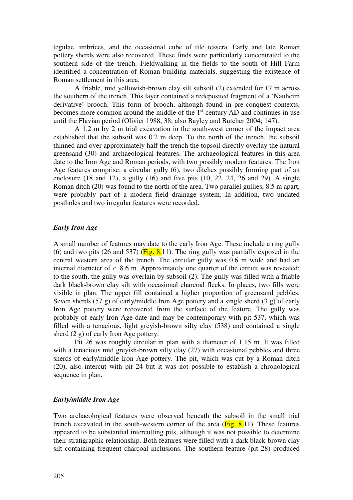tegulae, imbrices, and the occasional cube of tile tessera. Early and late Roman pottery sherds were also recovered. These finds were particularly concentrated to the southern side of the trench. Fieldwalking in the fields to the south of Hill Farm identified a concentration of Roman building materials, suggesting the existence of Roman settlement in this area.

A friable, mid yellowish-brown clay silt subsoil (2) extended for 17 m across the southern of the trench. This layer contained a redeposited fragment of a 'Nauheim derivative' brooch. This form of brooch, although found in pre-conquest contexts, becomes more common around the middle of the  $1<sup>st</sup>$  century AD and continues in use until the Flavian period (Olivier 1988, 38; also Bayley and Butcher 2004; 147).

A 1.2 m by 2 m trial excavation in the south-west corner of the impact area established that the subsoil was 0.2 m deep. To the north of the trench, the subsoil thinned and over approximately half the trench the topsoil directly overlay the natural greensand (30) and archaeological features. The archaeological features in this area date to the Iron Age and Roman periods, with two possibly modern features. The Iron Age features comprise: a circular gully (6), two ditches possibly forming part of an enclosure (18 and 12), a gully (16) and five pits (10, 22, 24, 26 and 29). A single Roman ditch (20) was found to the north of the area. Two parallel gullies, 8.5 m apart, were probably part of a modern field drainage system. In addition, two undated postholes and two irregular features were recorded.

### *Early Iron Age*

A small number of features may date to the early Iron Age. These include a ring gully (6) and two pits (26 and 537) ( $\overline{Fig. 8.11}$ ). The ring gully was partially exposed in the central western area of the trench. The circular gully was 0.6 m wide and had an internal diameter of *c*. 8.6 m. Approximately one quarter of the circuit was revealed; to the south, the gully was overlain by subsoil (2). The gully was filled with a friable dark black-brown clay silt with occasional charcoal flecks. In places, two fills were visible in plan. The upper fill contained a higher proportion of greensand pebbles. Seven sherds (57 g) of early/middle Iron Age pottery and a single sherd (3 g) of early Iron Age pottery were recovered from the surface of the feature. The gully was probably of early Iron Age date and may be contemporary with pit 537, which was filled with a tenacious, light greyish-brown silty clay (538) and contained a single sherd (2 g) of early Iron Age pottery.

Pit 26 was roughly circular in plan with a diameter of 1.15 m. It was filled with a tenacious mid greyish-brown silty clay (27) with occasional pebbles and three sherds of early/middle Iron Age pottery. The pit, which was cut by a Roman ditch (20), also intercut with pit 24 but it was not possible to establish a chronological sequence in plan.

# *Early/middle Iron Age*

Two archaeological features were observed beneath the subsoil in the small trial trench excavated in the south-western corner of the area  $(Fig. 8.11)$ . These features appeared to be substantial intercutting pits, although it was not possible to determine their stratigraphic relationship. Both features were filled with a dark black-brown clay silt containing frequent charcoal inclusions. The southern feature (pit 28) produced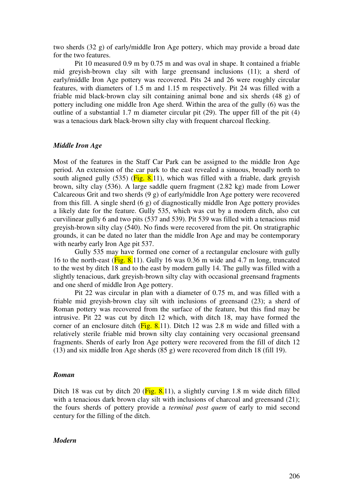two sherds (32 g) of early/middle Iron Age pottery, which may provide a broad date for the two features.

Pit 10 measured 0.9 m by 0.75 m and was oval in shape. It contained a friable mid greyish-brown clay silt with large greensand inclusions (11); a sherd of early/middle Iron Age pottery was recovered. Pits 24 and 26 were roughly circular features, with diameters of 1.5 m and 1.15 m respectively. Pit 24 was filled with a friable mid black-brown clay silt containing animal bone and six sherds (48 g) of pottery including one middle Iron Age sherd. Within the area of the gully (6) was the outline of a substantial 1.7 m diameter circular pit (29). The upper fill of the pit (4) was a tenacious dark black-brown silty clay with frequent charcoal flecking.

### *Middle Iron Age*

Most of the features in the Staff Car Park can be assigned to the middle Iron Age period. An extension of the car park to the east revealed a sinuous, broadly north to south aligned gully  $(535)$  (Fig. 8.11), which was filled with a friable, dark greyish brown, silty clay (536). A large saddle quern fragment (2.82 kg) made from Lower Calcareous Grit and two sherds (9 g) of early/middle Iron Age pottery were recovered from this fill. A single sherd (6 g) of diagnostically middle Iron Age pottery provides a likely date for the feature. Gully 535, which was cut by a modern ditch, also cut curvilinear gully 6 and two pits (537 and 539). Pit 539 was filled with a tenacious mid greyish-brown silty clay (540). No finds were recovered from the pit. On stratigraphic grounds, it can be dated no later than the middle Iron Age and may be contemporary with nearby early Iron Age pit 537.

Gully 535 may have formed one corner of a rectangular enclosure with gully 16 to the north-east ( $\overline{Fig. 8.11}$ ). Gully 16 was 0.36 m wide and 4.7 m long, truncated to the west by ditch 18 and to the east by modern gully 14. The gully was filled with a slightly tenacious, dark greyish-brown silty clay with occasional greensand fragments and one sherd of middle Iron Age pottery.

Pit 22 was circular in plan with a diameter of 0.75 m, and was filled with a friable mid greyish-brown clay silt with inclusions of greensand (23); a sherd of Roman pottery was recovered from the surface of the feature, but this find may be intrusive. Pit 22 was cut by ditch 12 which, with ditch 18, may have formed the corner of an enclosure ditch ( $Fig. 8.11$ ). Ditch 12 was 2.8 m wide and filled with a relatively sterile friable mid brown silty clay containing very occasional greensand fragments. Sherds of early Iron Age pottery were recovered from the fill of ditch 12 (13) and six middle Iron Age sherds (85 g) were recovered from ditch 18 (fill 19).

#### *Roman*

Ditch 18 was cut by ditch 20 ( $\overline{Fig. 8.11}$ ), a slightly curving 1.8 m wide ditch filled with a tenacious dark brown clay silt with inclusions of charcoal and greensand (21); the fours sherds of pottery provide a *terminal post quem* of early to mid second century for the filling of the ditch.

### *Modern*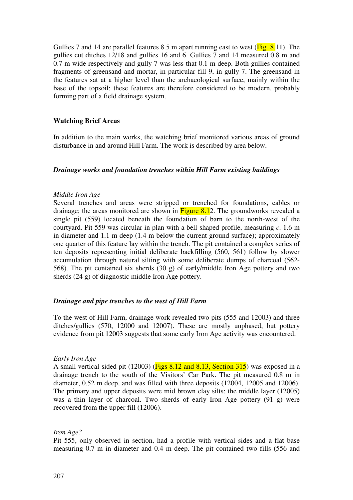Gullies 7 and 14 are parallel features 8.5 m apart running east to west ( $\overline{Fig. 8.11}$ ). The gullies cut ditches 12/18 and gullies 16 and 6. Gullies 7 and 14 measured 0.8 m and 0.7 m wide respectively and gully 7 was less that 0.1 m deep. Both gullies contained fragments of greensand and mortar, in particular fill 9, in gully 7. The greensand in the features sat at a higher level than the archaeological surface, mainly within the base of the topsoil; these features are therefore considered to be modern, probably forming part of a field drainage system.

# **Watching Brief Areas**

In addition to the main works, the watching brief monitored various areas of ground disturbance in and around Hill Farm. The work is described by area below.

# *Drainage works and foundation trenches within Hill Farm existing buildings*

# *Middle Iron Age*

Several trenches and areas were stripped or trenched for foundations, cables or drainage; the areas monitored are shown in  $Figure 8.12$ . The groundworks revealed a single pit (559) located beneath the foundation of barn to the north-west of the courtyard. Pit 559 was circular in plan with a bell-shaped profile, measuring *c*. 1.6 m in diameter and 1.1 m deep (1.4 m below the current ground surface); approximately one quarter of this feature lay within the trench. The pit contained a complex series of ten deposits representing initial deliberate backfilling (560, 561) follow by slower accumulation through natural silting with some deliberate dumps of charcoal (562- 568). The pit contained six sherds (30 g) of early/middle Iron Age pottery and two sherds (24 g) of diagnostic middle Iron Age pottery.

# *Drainage and pipe trenches to the west of Hill Farm*

To the west of Hill Farm, drainage work revealed two pits (555 and 12003) and three ditches/gullies (570, 12000 and 12007). These are mostly unphased, but pottery evidence from pit 12003 suggests that some early Iron Age activity was encountered.

# *Early Iron Age*

A small vertical-sided pit (12003) (Figs 8.12 and 8.13, Section 315) was exposed in a drainage trench to the south of the Visitors' Car Park. The pit measured 0.8 m in diameter, 0.52 m deep, and was filled with three deposits (12004, 12005 and 12006). The primary and upper deposits were mid brown clay silts; the middle layer (12005) was a thin layer of charcoal. Two sherds of early Iron Age pottery (91 g) were recovered from the upper fill (12006).

# *Iron Age?*

Pit 555, only observed in section, had a profile with vertical sides and a flat base measuring 0.7 m in diameter and 0.4 m deep. The pit contained two fills (556 and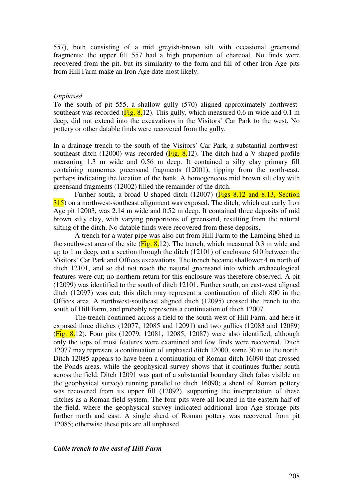557), both consisting of a mid greyish-brown silt with occasional greensand fragments; the upper fill 557 had a high proportion of charcoal. No finds were recovered from the pit, but its similarity to the form and fill of other Iron Age pits from Hill Farm make an Iron Age date most likely.

#### *Unphased*

To the south of pit 555, a shallow gully (570) aligned approximately northwestsoutheast was recorded ( $Fig. 8.12$ ). This gully, which measured 0.6 m wide and 0.1 m deep, did not extend into the excavations in the Visitors' Car Park to the west. No pottery or other datable finds were recovered from the gully.

In a drainage trench to the south of the Visitors' Car Park, a substantial northwestsoutheast ditch (12000) was recorded ( $Fig. 8.12$ ). The ditch had a V-shaped profile measuring 1.3 m wide and 0.56 m deep. It contained a silty clay primary fill containing numerous greensand fragments (12001), tipping from the north-east, perhaps indicating the location of the bank. A homogeneous mid brown silt clay with greensand fragments (12002) filled the remainder of the ditch.

Further south, a broad U-shaped ditch (12007) (Figs 8.12 and 8.13, Section 315) on a northwest-southeast alignment was exposed. The ditch, which cut early Iron Age pit 12003, was 2.14 m wide and 0.52 m deep. It contained three deposits of mid brown silty clay, with varying proportions of greensand, resulting from the natural silting of the ditch. No datable finds were recovered from these deposits.

A trench for a water pipe was also cut from Hill Farm to the Lambing Shed in the southwest area of the site ( $Fig. 8.12$ ). The trench, which measured 0.3 m wide and up to 1 m deep, cut a section through the ditch (12101) of enclosure 610 between the Visitors' Car Park and Offices excavations. The trench became shallower 4 m north of ditch 12101, and so did not reach the natural greensand into which archaeological features were cut; no northern return for this enclosure was therefore observed. A pit (12099) was identified to the south of ditch 12101. Further south, an east-west aligned ditch (12097) was cut; this ditch may represent a continuation of ditch 800 in the Offices area. A northwest-southeast aligned ditch (12095) crossed the trench to the south of Hill Farm, and probably represents a continuation of ditch 12007.

The trench continued across a field to the south-west of Hill Farm, and here it exposed three ditches (12077, 12085 and 12091) and two gullies (12083 and 12089)  $(Fig. 8.12)$ . Four pits (12079, 12081, 12085, 12087) were also identified, although only the tops of most features were examined and few finds were recovered. Ditch 12077 may represent a continuation of unphased ditch 12000, some 30 m to the north. Ditch 12085 appears to have been a continuation of Roman ditch 16090 that crossed the Ponds areas, while the geophysical survey shows that it continues further south across the field. Ditch 12091 was part of a substantial boundary ditch (also visible on the geophysical survey) running parallel to ditch 16090; a sherd of Roman pottery was recovered from its upper fill (12092), supporting the interpretation of these ditches as a Roman field system. The four pits were all located in the eastern half of the field, where the geophysical survey indicated additional Iron Age storage pits further north and east. A single sherd of Roman pottery was recovered from pit 12085; otherwise these pits are all unphased.

### *Cable trench to the east of Hill Farm*